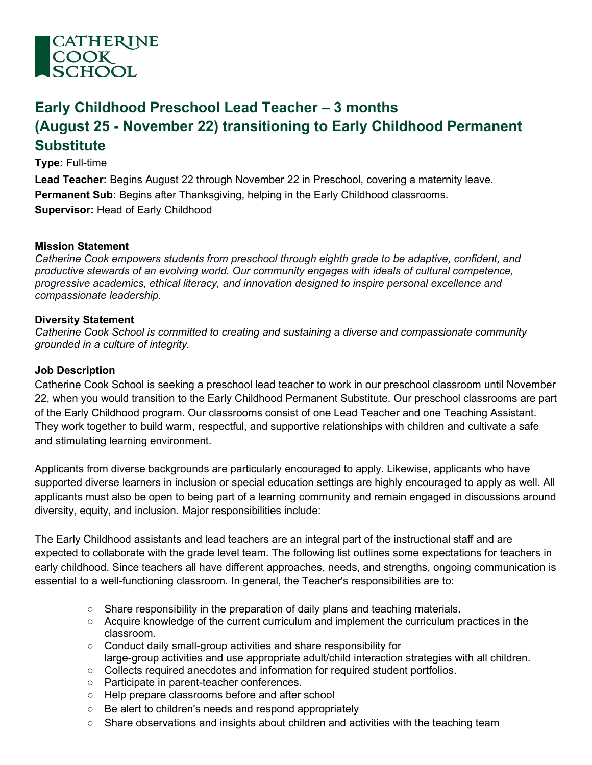

# **Early Childhood Preschool Lead Teacher – 3 months (August 25 - November 22) transitioning to Early Childhood Permanent Substitute**

**Type:** Full-time

**Lead Teacher:** Begins August 22 through November 22 in Preschool, covering a maternity leave. **Permanent Sub:** Begins after Thanksgiving, helping in the Early Childhood classrooms. **Supervisor:** Head of Early Childhood

## **Mission Statement**

*Catherine Cook empowers students from preschool through eighth grade to be adaptive, confident, and productive stewards of an evolving world. Our community engages with ideals of cultural competence, progressive academics, ethical literacy, and innovation designed to inspire personal excellence and compassionate leadership.*

#### **Diversity Statement**

*Catherine Cook School is committed to creating and sustaining a diverse and compassionate community grounded in a culture of integrity.*

#### **Job Description**

Catherine Cook School is seeking a preschool lead teacher to work in our preschool classroom until November 22, when you would transition to the Early Childhood Permanent Substitute. Our preschool classrooms are part of the Early Childhood program. Our classrooms consist of one Lead Teacher and one Teaching Assistant. They work together to build warm, respectful, and supportive relationships with children and cultivate a safe and stimulating learning environment.

Applicants from diverse backgrounds are particularly encouraged to apply. Likewise, applicants who have supported diverse learners in inclusion or special education settings are highly encouraged to apply as well. All applicants must also be open to being part of a learning community and remain engaged in discussions around diversity, equity, and inclusion. Major responsibilities include:

The Early Childhood assistants and lead teachers are an integral part of the instructional staff and are expected to collaborate with the grade level team. The following list outlines some expectations for teachers in early childhood. Since teachers all have different approaches, needs, and strengths, ongoing communication is essential to a well-functioning classroom. In general, the Teacher's responsibilities are to:

- $\circ$  Share responsibility in the preparation of daily plans and teaching materials.
- Acquire knowledge of the current curriculum and implement the curriculum practices in the classroom.
- Conduct daily small-group activities and share responsibility for large-group activities and use appropriate adult/child interaction strategies with all children.
- Collects required anecdotes and information for required student portfolios.
- Participate in parent-teacher conferences.
- Help prepare classrooms before and after school
- Be alert to children's needs and respond appropriately
- $\circ$  Share observations and insights about children and activities with the teaching team